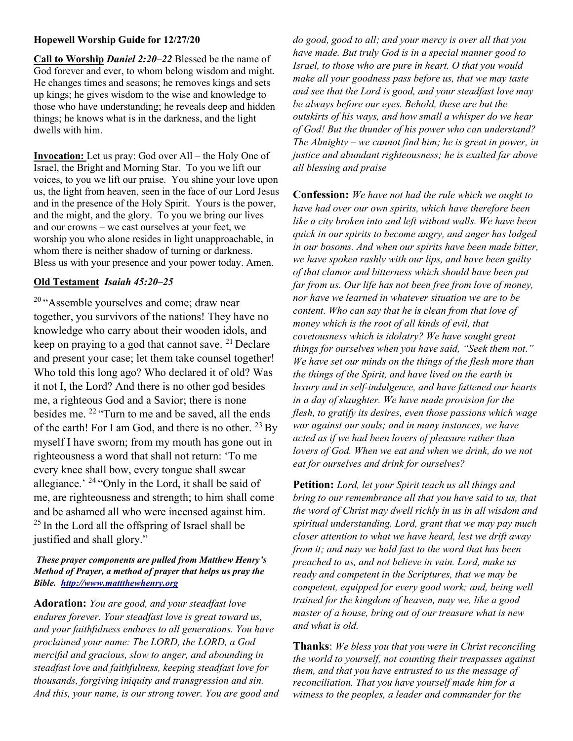## Hopewell Worship Guide for 12/27/20

Call to Worship Daniel 2:20–22 Blessed be the name of God forever and ever, to whom belong wisdom and might. He changes times and seasons; he removes kings and sets up kings; he gives wisdom to the wise and knowledge to those who have understanding; he reveals deep and hidden things; he knows what is in the darkness, and the light dwells with him.

Invocation: Let us pray: God over All – the Holy One of Israel, the Bright and Morning Star. To you we lift our voices, to you we lift our praise. You shine your love upon us, the light from heaven, seen in the face of our Lord Jesus and in the presence of the Holy Spirit. Yours is the power, and the might, and the glory. To you we bring our lives and our crowns – we cast ourselves at your feet, we worship you who alone resides in light unapproachable, in whom there is neither shadow of turning or darkness. Bless us with your presence and your power today. Amen.

## Old Testament Isaiah 45:20–25

<sup>20</sup> "Assemble yourselves and come; draw near together, you survivors of the nations! They have no knowledge who carry about their wooden idols, and keep on praying to a god that cannot save.  $21$  Declare and present your case; let them take counsel together! Who told this long ago? Who declared it of old? Was it not I, the Lord? And there is no other god besides me, a righteous God and a Savior; there is none besides me. <sup>22</sup> "Turn to me and be saved, all the ends of the earth! For I am God, and there is no other.  $^{23}$  By myself I have sworn; from my mouth has gone out in righteousness a word that shall not return: 'To me every knee shall bow, every tongue shall swear allegiance.' <sup>24</sup>"Only in the Lord, it shall be said of me, are righteousness and strength; to him shall come and be ashamed all who were incensed against him.  $25$  In the Lord all the offspring of Israel shall be justified and shall glory."

## These prayer components are pulled from Matthew Henry's Method of Prayer, a method of prayer that helps us pray the Bible. http://www.mattthewhenry.org

Adoration: You are good, and your steadfast love endures forever. Your steadfast love is great toward us, and your faithfulness endures to all generations. You have proclaimed your name: The LORD, the LORD, a God merciful and gracious, slow to anger, and abounding in steadfast love and faithfulness, keeping steadfast love for thousands, forgiving iniquity and transgression and sin. And this, your name, is our strong tower. You are good and

do good, good to all; and your mercy is over all that you have made. But truly God is in a special manner good to Israel, to those who are pure in heart. O that you would make all your goodness pass before us, that we may taste and see that the Lord is good, and your steadfast love may be always before our eyes. Behold, these are but the outskirts of his ways, and how small a whisper do we hear of God! But the thunder of his power who can understand? The Almighty – we cannot find him; he is great in power, in justice and abundant righteousness; he is exalted far above all blessing and praise

Confession: We have not had the rule which we ought to have had over our own spirits, which have therefore been like a city broken into and left without walls. We have been quick in our spirits to become angry, and anger has lodged in our bosoms. And when our spirits have been made bitter, we have spoken rashly with our lips, and have been guilty of that clamor and bitterness which should have been put far from us. Our life has not been free from love of money, nor have we learned in whatever situation we are to be content. Who can say that he is clean from that love of money which is the root of all kinds of evil, that covetousness which is idolatry? We have sought great things for ourselves when you have said, "Seek them not." We have set our minds on the things of the flesh more than the things of the Spirit, and have lived on the earth in luxury and in self-indulgence, and have fattened our hearts in a day of slaughter. We have made provision for the flesh, to gratify its desires, even those passions which wage war against our souls; and in many instances, we have acted as if we had been lovers of pleasure rather than lovers of God. When we eat and when we drink, do we not eat for ourselves and drink for ourselves?

Petition: Lord, let your Spirit teach us all things and bring to our remembrance all that you have said to us, that the word of Christ may dwell richly in us in all wisdom and spiritual understanding. Lord, grant that we may pay much closer attention to what we have heard, lest we drift away from it; and may we hold fast to the word that has been preached to us, and not believe in vain. Lord, make us ready and competent in the Scriptures, that we may be competent, equipped for every good work; and, being well trained for the kingdom of heaven, may we, like a good master of a house, bring out of our treasure what is new and what is old.

**Thanks:** We bless you that you were in Christ reconciling the world to yourself, not counting their trespasses against them, and that you have entrusted to us the message of reconciliation. That you have yourself made him for a witness to the peoples, a leader and commander for the